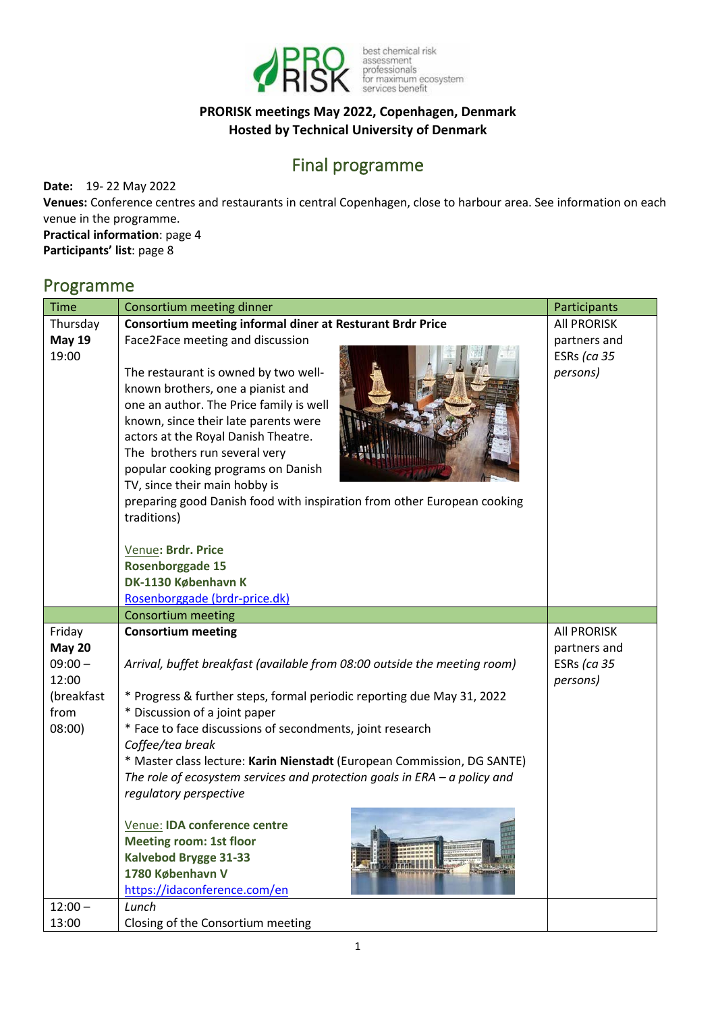

best chemical risk<br>assessment<br>professionals<br>for maximum ecosystem<br>services benefit

### **PRORISK meetings May 2022, Copenhagen, Denmark Hosted by Technical University of Denmark**

# Final programme

**Date:** 19- 22 May 2022

**Venues:** Conference centres and restaurants in central Copenhagen, close to harbour area. See information on each venue in the programme.

**Practical information**: page 4 **Participants' list**: page 8

# Programme

| <b>Time</b>                                                                   | Consortium meeting dinner                                                                                                                                                                                                                                                                                                                                                                                                                                                                                                                                                                                                                    | Participants                                                  |  |  |
|-------------------------------------------------------------------------------|----------------------------------------------------------------------------------------------------------------------------------------------------------------------------------------------------------------------------------------------------------------------------------------------------------------------------------------------------------------------------------------------------------------------------------------------------------------------------------------------------------------------------------------------------------------------------------------------------------------------------------------------|---------------------------------------------------------------|--|--|
| Thursday<br><b>May 19</b><br>19:00                                            | <b>Consortium meeting informal diner at Resturant Brdr Price</b><br>Face2Face meeting and discussion<br>The restaurant is owned by two well-<br>known brothers, one a pianist and<br>one an author. The Price family is well<br>known, since their late parents were<br>actors at the Royal Danish Theatre.<br>The brothers run several very<br>popular cooking programs on Danish<br>TV, since their main hobby is<br>preparing good Danish food with inspiration from other European cooking<br>traditions)<br>Venue: Brdr. Price<br>Rosenborggade 15<br>DK-1130 København K<br>Rosenborggade (brdr-price.dk)                              | <b>All PRORISK</b><br>partners and<br>ESRs (ca 35<br>persons) |  |  |
|                                                                               | <b>Consortium meeting</b>                                                                                                                                                                                                                                                                                                                                                                                                                                                                                                                                                                                                                    |                                                               |  |  |
| Friday<br><b>May 20</b><br>$09:00 -$<br>12:00<br>(breakfast<br>from<br>08:00) | <b>Consortium meeting</b><br>Arrival, buffet breakfast (available from 08:00 outside the meeting room)<br>* Progress & further steps, formal periodic reporting due May 31, 2022<br>* Discussion of a joint paper<br>* Face to face discussions of secondments, joint research<br>Coffee/tea break<br>* Master class lecture: Karin Nienstadt (European Commission, DG SANTE)<br>The role of ecosystem services and protection goals in $ERA - a$ policy and<br>regulatory perspective<br>Venue: IDA conference centre<br><b>Meeting room: 1st floor</b><br><b>Kalvebod Brygge 31-33</b><br>1780 København V<br>https://idaconference.com/en | <b>All PRORISK</b><br>partners and<br>ESRs (ca 35<br>persons) |  |  |
| $12:00 -$<br>13:00                                                            | Lunch<br>Closing of the Consortium meeting                                                                                                                                                                                                                                                                                                                                                                                                                                                                                                                                                                                                   |                                                               |  |  |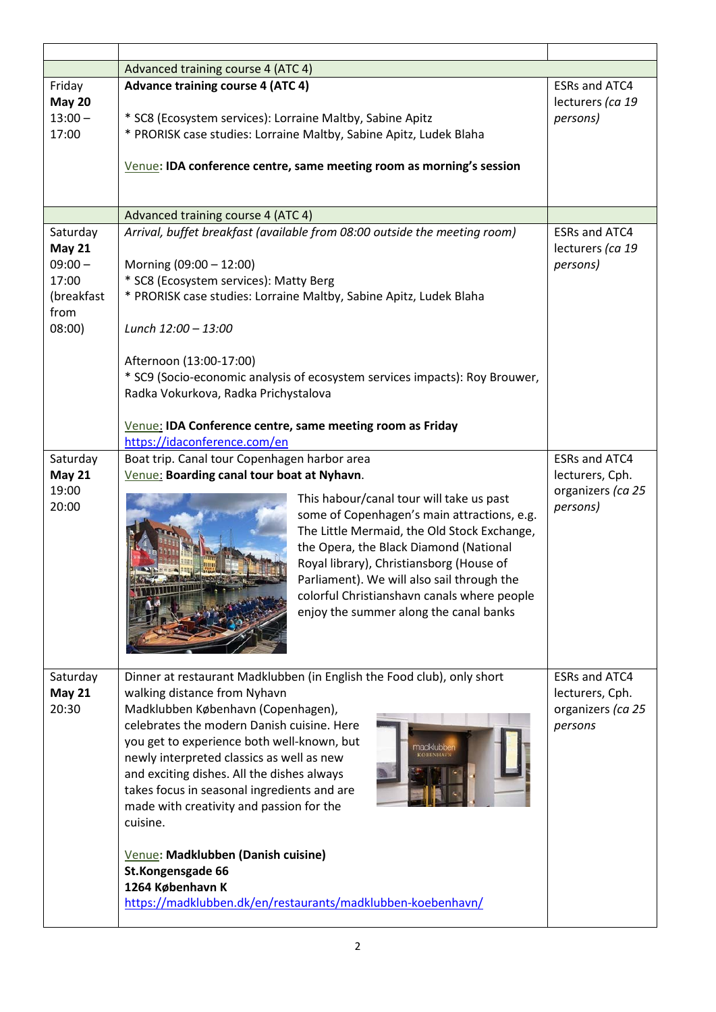|                                                                                | Advanced training course 4 (ATC 4)                                                                                                                                                                                                                                                                                                                                                                                                                                                                                                                                                       |                                                                         |
|--------------------------------------------------------------------------------|------------------------------------------------------------------------------------------------------------------------------------------------------------------------------------------------------------------------------------------------------------------------------------------------------------------------------------------------------------------------------------------------------------------------------------------------------------------------------------------------------------------------------------------------------------------------------------------|-------------------------------------------------------------------------|
| Friday<br><b>May 20</b><br>$13:00 -$<br>17:00                                  | <b>Advance training course 4 (ATC 4)</b><br>* SC8 (Ecosystem services): Lorraine Maltby, Sabine Apitz<br>* PRORISK case studies: Lorraine Maltby, Sabine Apitz, Ludek Blaha<br>Venue: IDA conference centre, same meeting room as morning's session                                                                                                                                                                                                                                                                                                                                      | <b>ESRs and ATC4</b><br>lecturers (ca 19<br>persons)                    |
|                                                                                | Advanced training course 4 (ATC 4)                                                                                                                                                                                                                                                                                                                                                                                                                                                                                                                                                       |                                                                         |
| Saturday<br><b>May 21</b><br>$09:00 -$<br>17:00<br>(breakfast<br>from<br>08:00 | Arrival, buffet breakfast (available from 08:00 outside the meeting room)<br>Morning (09:00 - 12:00)<br>* SC8 (Ecosystem services): Matty Berg<br>* PRORISK case studies: Lorraine Maltby, Sabine Apitz, Ludek Blaha<br>Lunch 12:00 - 13:00<br>Afternoon (13:00-17:00)<br>* SC9 (Socio-economic analysis of ecosystem services impacts): Roy Brouwer,<br>Radka Vokurkova, Radka Prichystalova<br>Venue: IDA Conference centre, same meeting room as Friday                                                                                                                               | <b>ESRs and ATC4</b><br>lecturers (ca 19<br>persons)                    |
| Saturday                                                                       | https://idaconference.com/en<br>Boat trip. Canal tour Copenhagen harbor area                                                                                                                                                                                                                                                                                                                                                                                                                                                                                                             | <b>ESRs and ATC4</b>                                                    |
| <b>May 21</b><br>19:00<br>20:00                                                | Venue: Boarding canal tour boat at Nyhavn.<br>This habour/canal tour will take us past<br>some of Copenhagen's main attractions, e.g.<br>The Little Mermaid, the Old Stock Exchange,<br>the Opera, the Black Diamond (National<br>Royal library), Christiansborg (House of<br>Parliament). We will also sail through the<br>colorful Christianshavn canals where people<br>enjoy the summer along the canal banks                                                                                                                                                                        | lecturers, Cph.<br>organizers (ca 25<br>persons)                        |
| Saturday<br><b>May 21</b><br>20:30                                             | Dinner at restaurant Madklubben (in English the Food club), only short<br>walking distance from Nyhavn<br>Madklubben København (Copenhagen),<br>celebrates the modern Danish cuisine. Here<br>you get to experience both well-known, but<br>newly interpreted classics as well as new<br>and exciting dishes. All the dishes always<br>takes focus in seasonal ingredients and are<br>made with creativity and passion for the<br>cuisine.<br>Venue: Madklubben (Danish cuisine)<br>St.Kongensgade 66<br>1264 København K<br>https://madklubben.dk/en/restaurants/madklubben-koebenhavn/ | <b>ESRs and ATC4</b><br>lecturers, Cph.<br>organizers (ca 25<br>persons |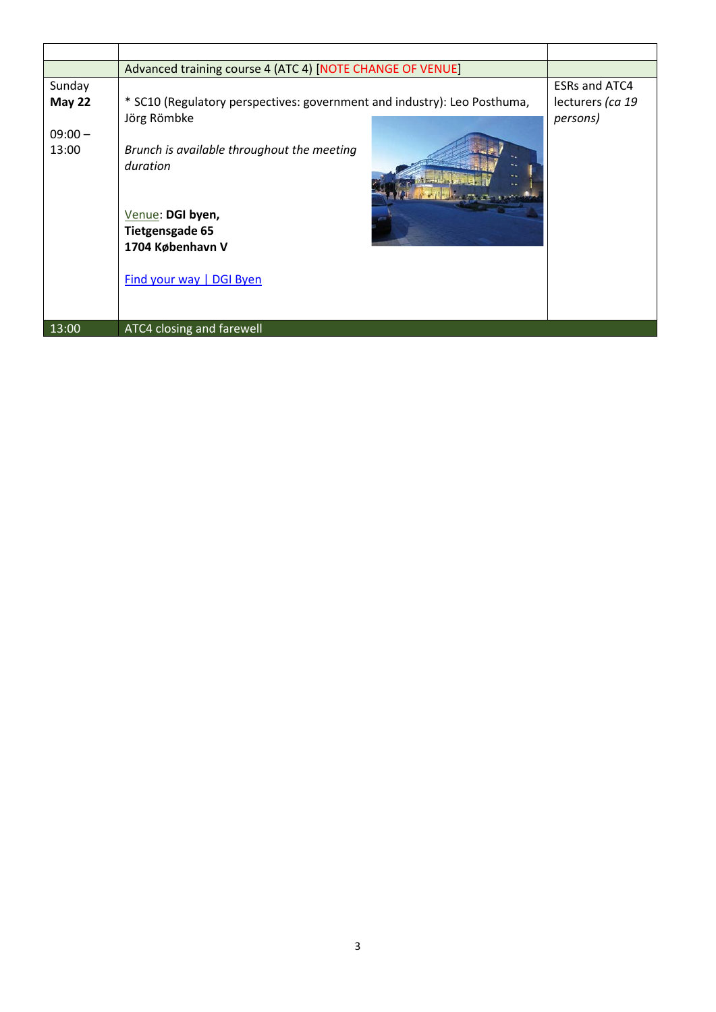|               | Advanced training course 4 (ATC 4) [NOTE CHANGE OF VENUE]                |                      |
|---------------|--------------------------------------------------------------------------|----------------------|
| Sunday        |                                                                          | <b>ESRs and ATC4</b> |
| <b>May 22</b> | * SC10 (Regulatory perspectives: government and industry): Leo Posthuma, | lecturers (ca 19     |
|               | Jörg Römbke                                                              | persons)             |
| $09:00 -$     |                                                                          |                      |
| 13:00         | Brunch is available throughout the meeting                               |                      |
|               | duration                                                                 |                      |
|               | Venue: DGI byen,                                                         |                      |
|               | <b>Tietgensgade 65</b>                                                   |                      |
|               | 1704 København V                                                         |                      |
|               |                                                                          |                      |
|               | Find your way   DGI Byen                                                 |                      |
|               |                                                                          |                      |
|               |                                                                          |                      |
| 13:00         | ATC4 closing and farewell                                                |                      |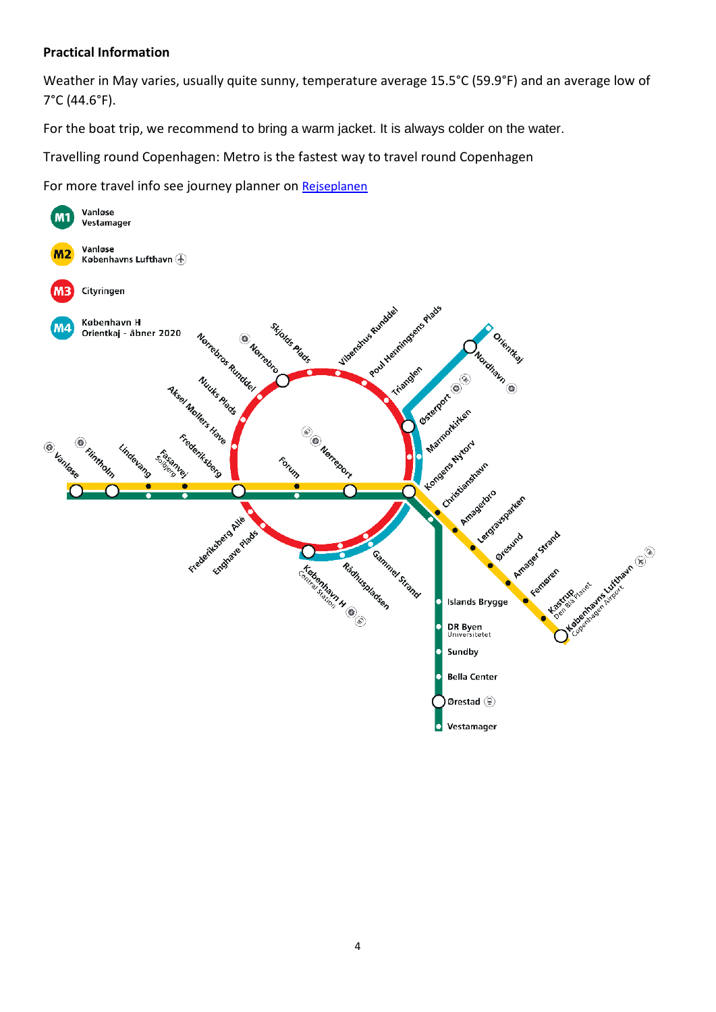#### **Practical Information**

Weather in May varies, usually quite sunny, temperature average 15.5°C (59.9°F) and an average low of 7°C (44.6°F).

For the boat trip, we recommend to bring a warm jacket. It is always colder on the water.

Travelling round Copenhagen: Metro is the fastest way to travel round Copenhagen

For more travel info see journey planner on [Rejseplanen](https://rejseplanen.dk/webapp/?language=en_EN#!P|TP!histId|0!histKey|H525020)

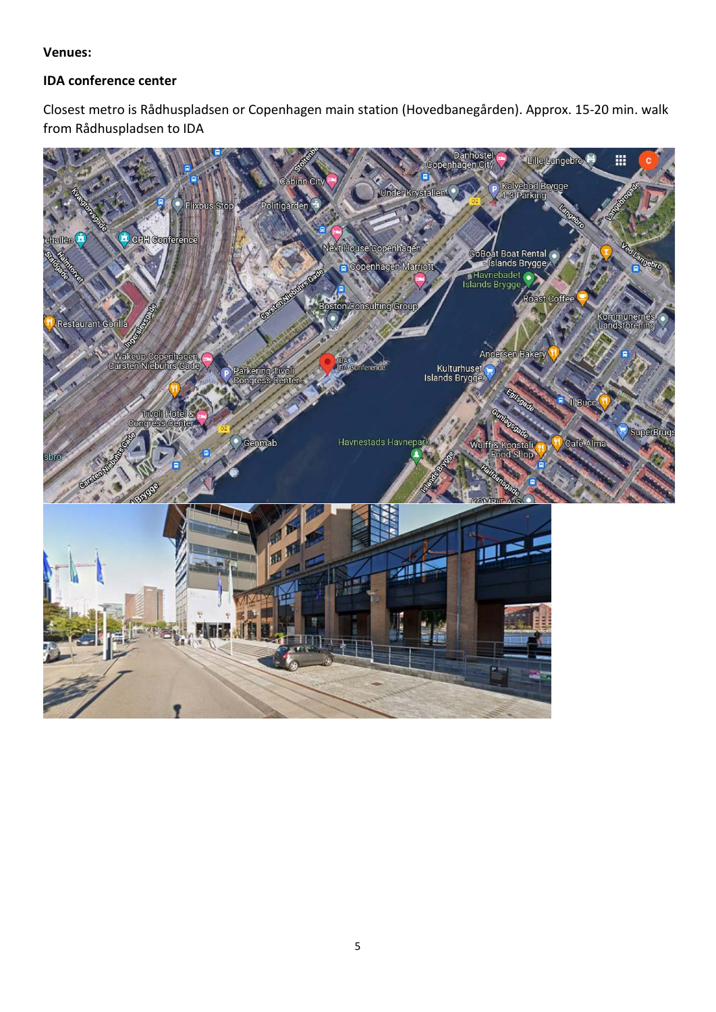#### **Venues:**

#### **IDA conference center**

Closest metro is Rådhuspladsen or Copenhagen main station (Hovedbanegården). Approx. 15-20 min. walk from Rådhuspladsen to IDA

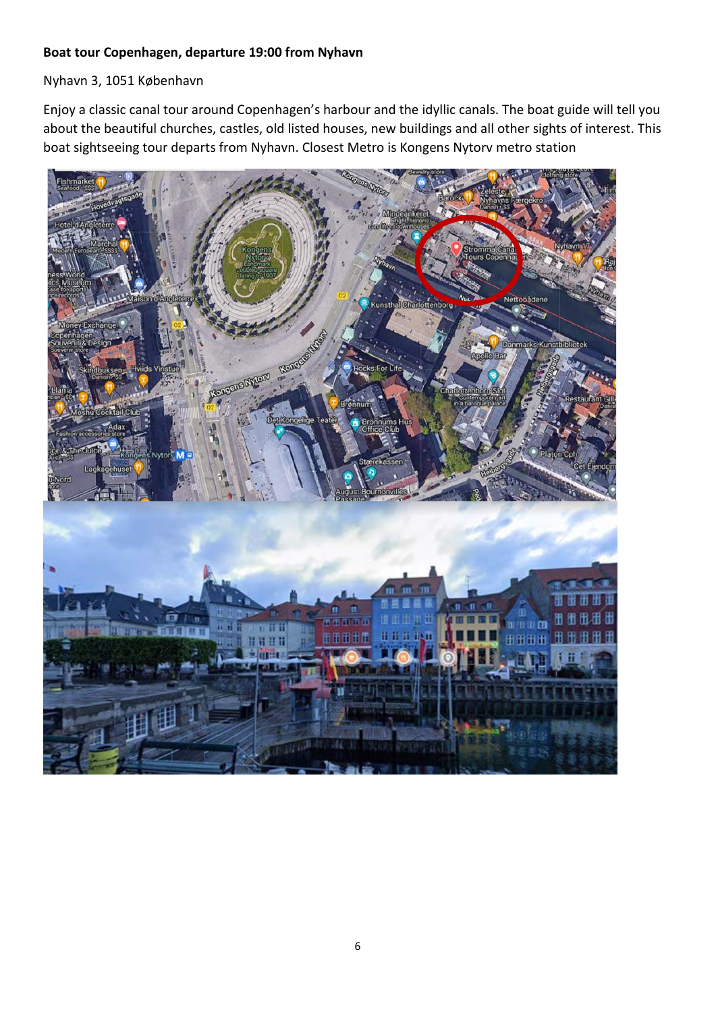#### **Boat tour Copenhagen, departure 19:00 from Nyhavn**

Nyhavn 3, 1051 København

Enjoy a classic canal tour around Copenhagen's harbour and the idyllic canals. The boat guide will tell you about the beautiful churches, castles, old listed houses, new buildings and all other sights of interest. This boat sightseeing tour departs from Nyhavn. Closest Metro is Kongens Nytorv metro station

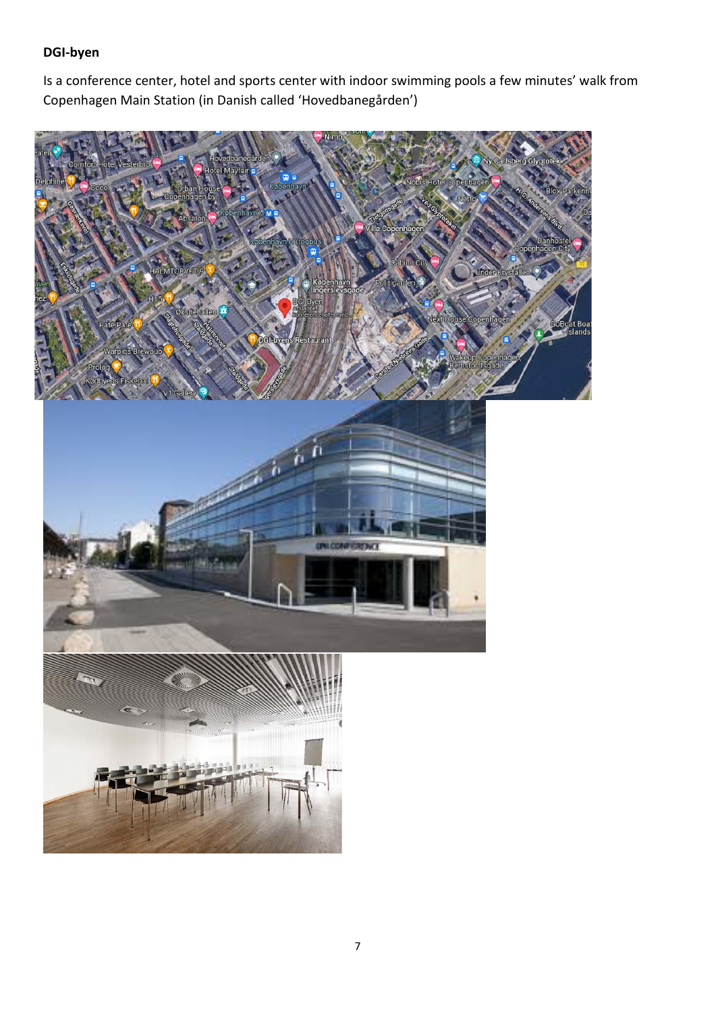### **DGI-byen**

Is a conference center, hotel and sports center with indoor swimming pools a few minutes' walk from Copenhagen Main Station (in Danish called 'Hovedbanegården')